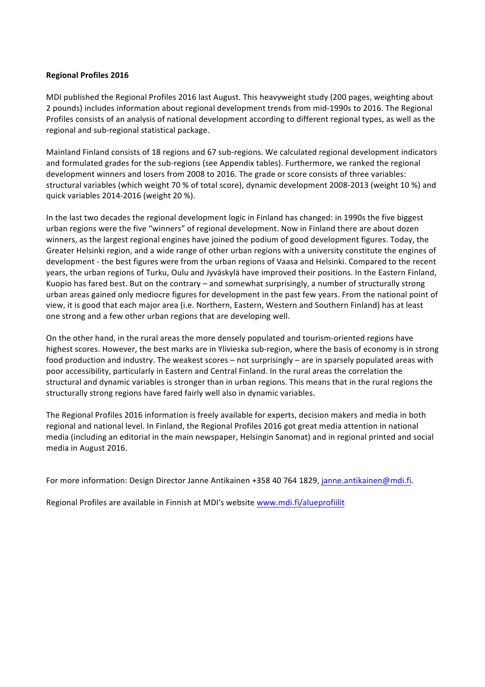## **Regional Profiles 2016**

MDI published the Regional Profiles 2016 last August. This heavyweight study (200 pages, weighting about 2 pounds) includes information about regional development trends from mid-1990s to 2016. The Regional Profiles consists of an analysis of national development according to different regional types, as well as the regional and sub-regional statistical package.

Mainland Finland consists of 18 regions and 67 sub-regions. We calculated regional development indicators and formulated grades for the sub-regions (see Appendix tables). Furthermore, we ranked the regional development winners and losers from 2008 to 2016. The grade or score consists of three variables: structural variables (which weight 70 % of total score), dynamic development 2008-2013 (weight 10 %) and quick variables 2014-2016 (weight 20 %). 

In the last two decades the regional development logic in Finland has changed: in 1990s the five biggest urban regions were the five "winners" of regional development. Now in Finland there are about dozen winners, as the largest regional engines have joined the podium of good development figures. Today, the Greater Helsinki region, and a wide range of other urban regions with a university constitute the engines of development - the best figures were from the urban regions of Vaasa and Helsinki. Compared to the recent years, the urban regions of Turku, Oulu and Jyväskylä have improved their positions. In the Eastern Finland, Kuopio has fared best. But on the contrary – and somewhat surprisingly, a number of structurally strong urban areas gained only mediocre figures for development in the past few years. From the national point of view, it is good that each major area (i.e. Northern, Eastern, Western and Southern Finland) has at least one strong and a few other urban regions that are developing well.

On the other hand, in the rural areas the more densely populated and tourism-oriented regions have highest scores. However, the best marks are in Ylivieska sub-region, where the basis of economy is in strong food production and industry. The weakest scores – not surprisingly – are in sparsely populated areas with poor accessibility, particularly in Eastern and Central Finland. In the rural areas the correlation the structural and dynamic variables is stronger than in urban regions. This means that in the rural regions the structurally strong regions have fared fairly well also in dynamic variables.

The Regional Profiles 2016 information is freely available for experts, decision makers and media in both regional and national level. In Finland, the Regional Profiles 2016 got great media attention in national media (including an editorial in the main newspaper, Helsingin Sanomat) and in regional printed and social media in August 2016.

For more information: Design Director Janne Antikainen +358 40 764 1829, janne.antikainen@mdi.fi.

Regional Profiles are available in Finnish at MDI's website www.mdi.fi/alueprofiilit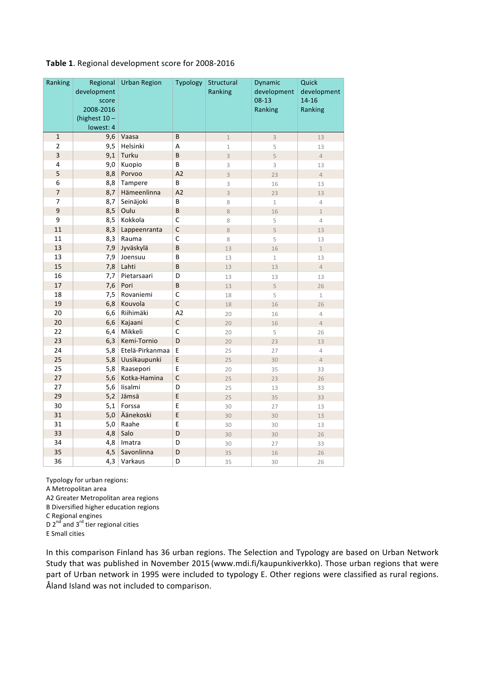| Ranking                 | Regional<br>development<br>score<br>2008-2016<br>(highest $10 -$ | Urban Region    | Typology       | Structural<br>Ranking | Dynamic<br>development<br>$08-13$<br>Ranking | Quick<br>development<br>$14 - 16$<br>Ranking |
|-------------------------|------------------------------------------------------------------|-----------------|----------------|-----------------------|----------------------------------------------|----------------------------------------------|
|                         | lowest: 4                                                        |                 |                |                       |                                              |                                              |
| $\mathbf 1$             | 9,6                                                              | Vaasa           | B              | $\mathbf 1$           | $\overline{3}$                               | 13                                           |
| $\overline{2}$          | 9,5                                                              | Helsinki        | А              | $\mathbf 1$           | 5                                            | 13                                           |
| 3                       | 9,1                                                              | Turku           | B              | $\overline{3}$        | $\overline{5}$                               | $\overline{4}$                               |
| $\overline{\mathbf{4}}$ | 9,0                                                              | Kuopio          | B              | 3                     | 3                                            | 13                                           |
| 5                       | 8,8                                                              | Porvoo          | A2             | $\overline{3}$        | 23                                           | $\overline{4}$                               |
| 6                       | 8,8                                                              | Tampere         | B              | 3                     | 16                                           | 13                                           |
| $\overline{7}$          | 8,7                                                              | Hämeenlinna     | A <sub>2</sub> | $\overline{3}$        | 23                                           | 13                                           |
| $\overline{7}$          | 8,7                                                              | Seinäjoki       | B              | 8                     | $1\,$                                        | 4                                            |
| $\mathbf{9}$            | 8,5                                                              | Oulu            | B              | $\,8\,$               | 16                                           | $\mathbf{1}$                                 |
| 9                       | 8,5                                                              | Kokkola         | C              | 8                     | 5                                            | 4                                            |
| 11                      | 8,3                                                              | Lappeenranta    | C              | 8                     | 5                                            | 13                                           |
| 11                      | 8,3                                                              | Rauma           | С              | 8                     | 5                                            | 13                                           |
| 13                      | 7,9                                                              | Jyväskylä       | B              | 13                    | 16                                           | $\mathbf{1}$                                 |
| 13                      | 7,9                                                              | Joensuu         | B              | 13                    | $\mathbf{1}$                                 | 13                                           |
| 15                      | 7,8                                                              | Lahti           | B              | 13                    | 13                                           | $\overline{4}$                               |
| 16                      | 7,7                                                              | Pietarsaari     | D              | 13                    | 13                                           | 13                                           |
| 17                      | 7,6                                                              | Pori            | B              | 13                    | $\overline{5}$                               | 26                                           |
| 18                      | 7,5                                                              | Rovaniemi       | C              | 18                    | 5                                            | $\mathbf 1$                                  |
| 19                      | 6,8                                                              | Kouvola         | C              | 18                    | 16                                           | 26                                           |
| 20                      | 6,6                                                              | Riihimäki       | A <sub>2</sub> | 20                    | 16                                           | 4                                            |
| 20                      | 6,6                                                              | Kajaani         | $\mathsf{C}$   | 20                    | 16                                           | $\overline{4}$                               |
| 22                      | 6,4                                                              | Mikkeli         | C              | 20                    | 5                                            | 26                                           |
| 23                      | 6,3                                                              | Kemi-Tornio     | D              | 20                    | 23                                           | 13                                           |
| 24                      | 5,8                                                              | Etelä-Pirkanmaa | E              | 25                    | 27                                           | $\overline{4}$                               |
| 25                      | 5,8                                                              | Uusikaupunki    | E              | 25                    | 30                                           | $\overline{4}$                               |
| 25                      | 5,8                                                              | Raasepori       | E              | 20                    | 35                                           | 33                                           |
| 27                      | 5,6                                                              | Kotka-Hamina    | $\overline{C}$ | 25                    | 23                                           | 26                                           |
| 27                      | 5,6                                                              | lisalmi         | D              | 25                    | 13                                           | 33                                           |
| 29                      | 5,2                                                              | Jämsä           | E              | 25                    | 35                                           | 33                                           |
| 30                      | 5,1                                                              | Forssa          | E              | 30                    | 27                                           | 13                                           |
| 31                      | 5,0                                                              | Äänekoski       | E              | 30                    | 30                                           | 13                                           |
| 31                      | 5,0                                                              | Raahe           | E              | 30                    | 30                                           | 13                                           |
| 33                      | 4,8                                                              | Salo            | D              | 30                    | 30                                           | 26                                           |
| 34                      | 4,8                                                              | Imatra          | D              | 30                    | 27                                           | 33                                           |
| 35                      | 4,5                                                              | Savonlinna      | D              | 35                    | 16                                           | 26                                           |
| 36                      | 4,3                                                              | Varkaus         | D              | 35                    | 30                                           | 26                                           |

# Table 1. Regional development score for 2008-2016

Typology for urban regions:

A Metropolitan area

A2 Greater Metropolitan area regions

B Diversified higher education regions

C Regional engines

D  $2^{nd}$  and  $3^{rd}$  tier regional cities

E Small cities

In this comparison Finland has 36 urban regions. The Selection and Typology are based on Urban Network Study that was published in November 2015 (www.mdi.fi/kaupunkiverkko). Those urban regions that were part of Urban network in 1995 were included to typology E. Other regions were classified as rural regions. Åland Island was not included to comparison.